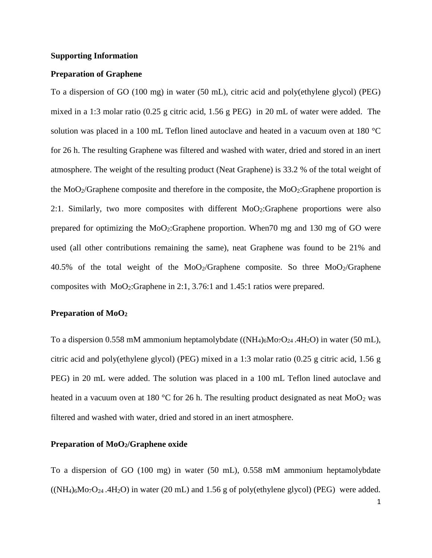## **Supporting Information**

# **Preparation of Graphene**

To a dispersion of GO (100 mg) in water (50 mL), citric acid and poly(ethylene glycol) (PEG) mixed in a 1:3 molar ratio (0.25 g citric acid, 1.56 g PEG) in 20 mL of water were added. The solution was placed in a 100 mL Teflon lined autoclave and heated in a vacuum oven at 180 °C for 26 h. The resulting Graphene was filtered and washed with water, dried and stored in an inert atmosphere. The weight of the resulting product (Neat Graphene) is 33.2 % of the total weight of the MoO2/Graphene composite and therefore in the composite, the MoO2:Graphene proportion is 2:1. Similarly, two more composites with different  $MoO<sub>2</sub>:Graphene$  proportions were also prepared for optimizing the MoO2:Graphene proportion. When70 mg and 130 mg of GO were used (all other contributions remaining the same), neat Graphene was found to be 21% and 40.5% of the total weight of the  $MoO<sub>2</sub>/Graphene$  composite. So three  $MoO<sub>2</sub>/Graphene$ composites with MoO2:Graphene in 2:1, 3.76:1 and 1.45:1 ratios were prepared.

## **Preparation of MoO<sup>2</sup>**

To a dispersion 0.558 mM ammonium heptamolybdate  $((NH_4)_6M_0T_24.4H_2O)$  in water (50 mL), citric acid and poly(ethylene glycol) (PEG) mixed in a 1:3 molar ratio (0.25 g citric acid, 1.56 g PEG) in 20 mL were added. The solution was placed in a 100 mL Teflon lined autoclave and heated in a vacuum oven at 180 °C for 26 h. The resulting product designated as neat  $MoO<sub>2</sub>$  was filtered and washed with water, dried and stored in an inert atmosphere.

# **Preparation of MoO2/Graphene oxide**

To a dispersion of GO (100 mg) in water (50 mL), 0.558 mM ammonium heptamolybdate  $((NH_4)_6M_07O_{24}$ .4H<sub>2</sub>O) in water (20 mL) and 1.56 g of poly(ethylene glycol) (PEG) were added.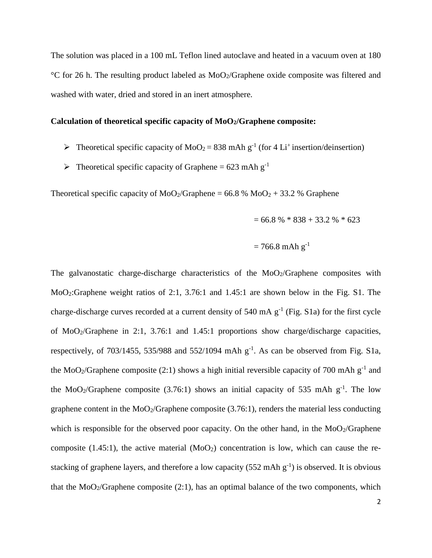The solution was placed in a 100 mL Teflon lined autoclave and heated in a vacuum oven at 180  $\degree$ C for 26 h. The resulting product labeled as MoO<sub>2</sub>/Graphene oxide composite was filtered and washed with water, dried and stored in an inert atmosphere.

# **Calculation of theoretical specific capacity of MoO2/Graphene composite:**

- $\triangleright$  Theoretical specific capacity of MoO<sub>2</sub> = 838 mAh g<sup>-1</sup> (for 4 Li<sup>+</sup> insertion/deinsertion)
- $\triangleright$  Theoretical specific capacity of Graphene = 623 mAh g<sup>-1</sup>

Theoretical specific capacity of  $MoO<sub>2</sub>/Graphene = 66.8 % MoO<sub>2</sub> + 33.2 % Graphene$ 

$$
= 66.8 %* 838 + 33.2 %* 623
$$

$$
= 766.8 \text{ mA} \text{h} \text{ g}^{-1}
$$

The galvanostatic charge-discharge characteristics of the  $MoO<sub>2</sub>/Graphene$  composites with MoO2:Graphene weight ratios of 2:1, 3.76:1 and 1.45:1 are shown below in the Fig. S1. The charge-discharge curves recorded at a current density of 540 mA  $g^{-1}$  (Fig. S1a) for the first cycle of MoO2/Graphene in 2:1, 3.76:1 and 1.45:1 proportions show charge/discharge capacities, respectively, of 703/1455, 535/988 and 552/1094 mAh  $g^{-1}$ . As can be observed from Fig. S1a, the MoO<sub>2</sub>/Graphene composite (2:1) shows a high initial reversible capacity of 700 mAh  $g^{-1}$  and the MoO<sub>2</sub>/Graphene composite (3.76:1) shows an initial capacity of 535 mAh  $g^{-1}$ . The low graphene content in the  $MoO<sub>2</sub>/Graphene$  composite (3.76:1), renders the material less conducting which is responsible for the observed poor capacity. On the other hand, in the  $MoO<sub>2</sub>/Graphene$ composite (1.45:1), the active material  $(MoO<sub>2</sub>)$  concentration is low, which can cause the restacking of graphene layers, and therefore a low capacity  $(552 \text{ mA} \text{h g}^{-1})$  is observed. It is obvious that the  $MoO<sub>2</sub>/Graphene composite (2:1)$ , has an optimal balance of the two components, which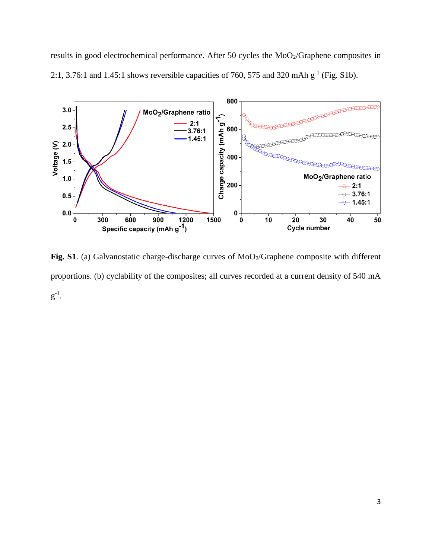results in good electrochemical performance. After 50 cycles the MoO<sub>2</sub>/Graphene composites in 2:1, 3.76:1 and 1.45:1 shows reversible capacities of 760, 575 and 320 mAh  $g^{-1}$  (Fig. S1b).



Fig. S1. (a) Galvanostatic charge-discharge curves of MoO<sub>2</sub>/Graphene composite with different proportions. (b) cyclability of the composites; all curves recorded at a current density of 540 mA  $g^{-1}$ .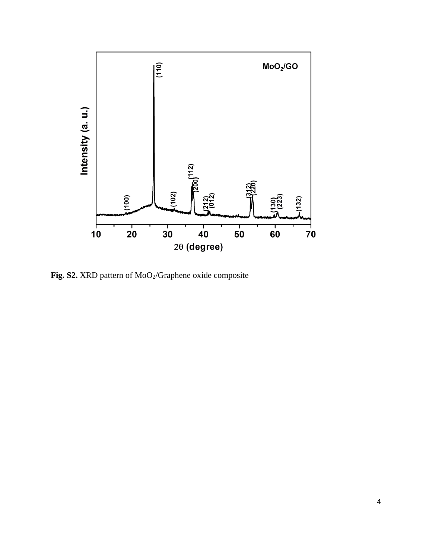

**Fig. S2.** XRD pattern of MoO2/Graphene oxide composite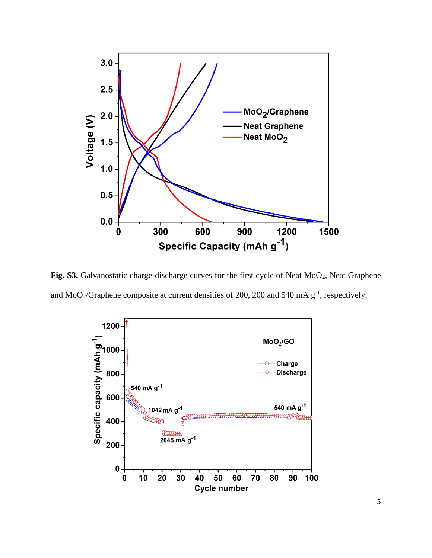

Fig. S3. Galvanostatic charge-discharge curves for the first cycle of Neat MoO<sub>2</sub>, Neat Graphene and MoO<sub>2</sub>/Graphene composite at current densities of 200, 200 and 540 mA  $g^{-1}$ , respectively.



5